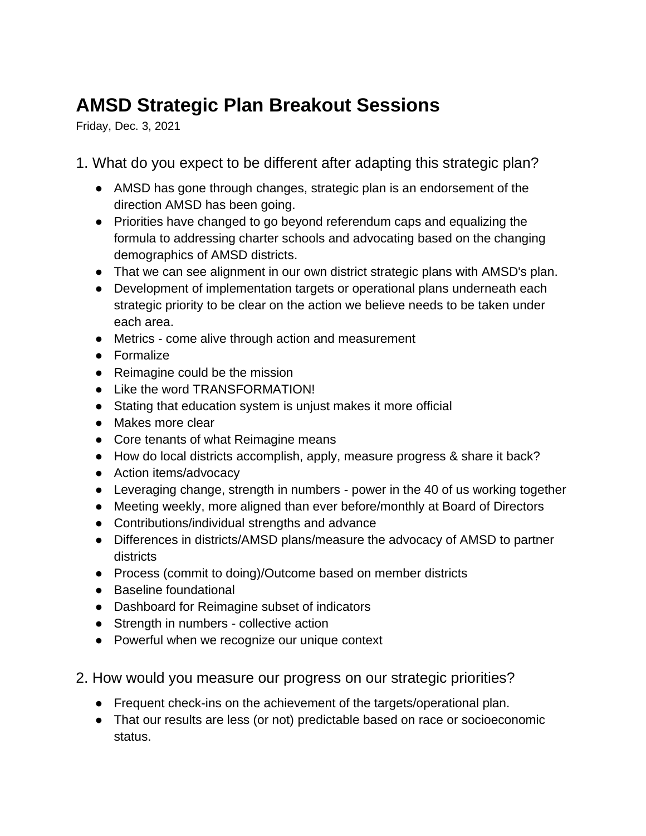## **AMSD Strategic Plan Breakout Sessions**

Friday, Dec. 3, 2021

1. What do you expect to be different after adapting this strategic plan?

- AMSD has gone through changes, strategic plan is an endorsement of the direction AMSD has been going.
- Priorities have changed to go beyond referendum caps and equalizing the formula to addressing charter schools and advocating based on the changing demographics of AMSD districts.
- That we can see alignment in our own district strategic plans with AMSD's plan.
- Development of implementation targets or operational plans underneath each strategic priority to be clear on the action we believe needs to be taken under each area.
- Metrics come alive through action and measurement
- Formalize
- Reimagine could be the mission
- Like the word TRANSFORMATION!
- Stating that education system is unjust makes it more official
- Makes more clear
- Core tenants of what Reimagine means
- How do local districts accomplish, apply, measure progress & share it back?
- Action items/advocacy
- Leveraging change, strength in numbers power in the 40 of us working together
- Meeting weekly, more aligned than ever before/monthly at Board of Directors
- Contributions/individual strengths and advance
- Differences in districts/AMSD plans/measure the advocacy of AMSD to partner districts
- Process (commit to doing)/Outcome based on member districts
- Baseline foundational
- Dashboard for Reimagine subset of indicators
- Strength in numbers collective action
- Powerful when we recognize our unique context
- 2. How would you measure our progress on our strategic priorities?
	- Frequent check-ins on the achievement of the targets/operational plan.
	- That our results are less (or not) predictable based on race or socioeconomic status.